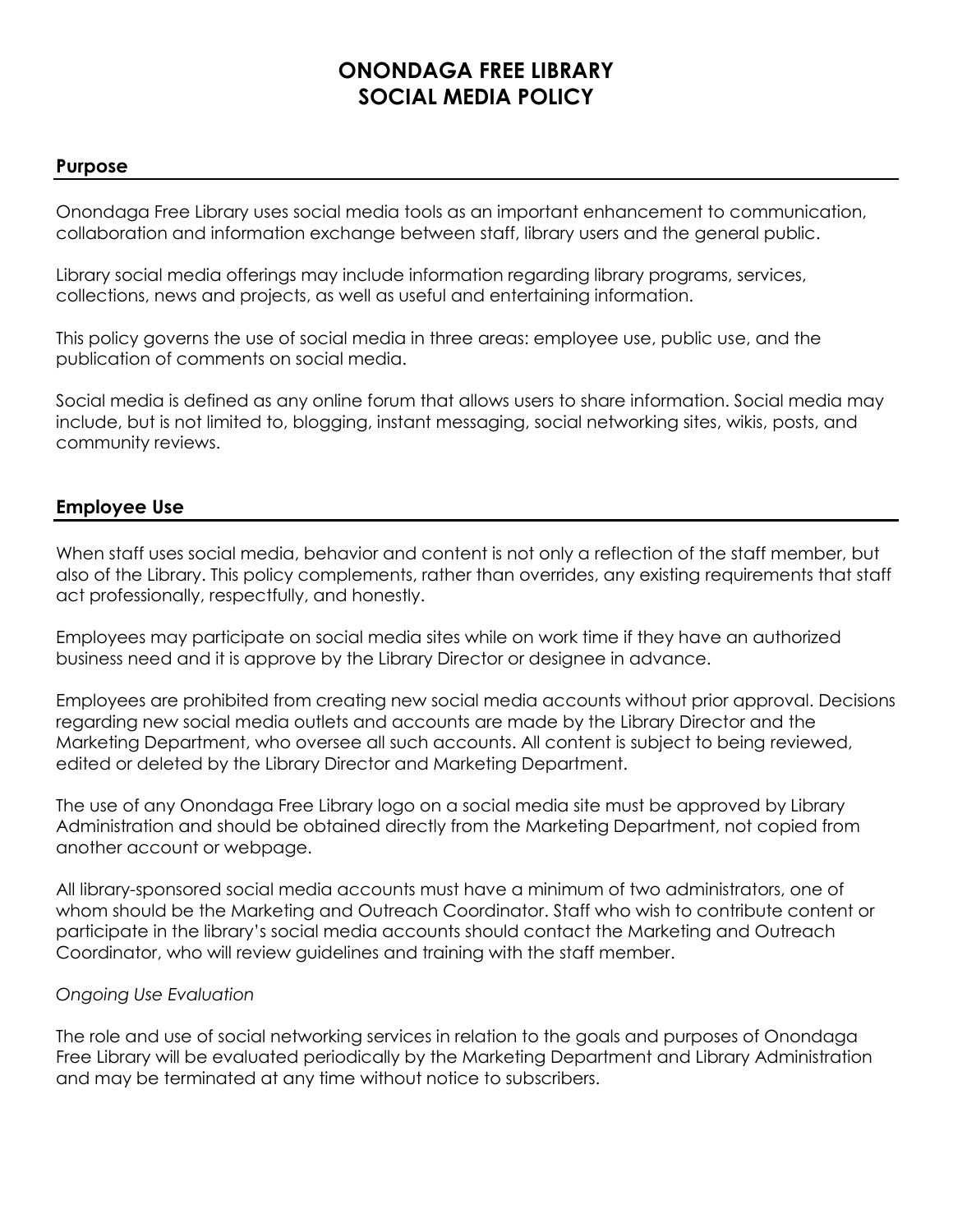# **ONONDAGA FREE LIBRARY SOCIAL MEDIA POLICY**

### **Purpose**

Onondaga Free Library uses social media tools as an important enhancement to communication, collaboration and information exchange between staff, library users and the general public.

Library social media offerings may include information regarding library programs, services, collections, news and projects, as well as useful and entertaining information.

This policy governs the use of social media in three areas: employee use, public use, and the publication of comments on social media.

Social media is defined as any online forum that allows users to share information. Social media may include, but is not limited to, blogging, instant messaging, social networking sites, wikis, posts, and community reviews.

## **Employee Use**

When staff uses social media, behavior and content is not only a reflection of the staff member, but also of the Library. This policy complements, rather than overrides, any existing requirements that staff act professionally, respectfully, and honestly.

Employees may participate on social media sites while on work time if they have an authorized business need and it is approve by the Library Director or designee in advance.

Employees are prohibited from creating new social media accounts without prior approval. Decisions regarding new social media outlets and accounts are made by the Library Director and the Marketing Department, who oversee all such accounts. All content is subject to being reviewed, edited or deleted by the Library Director and Marketing Department.

The use of any Onondaga Free Library logo on a social media site must be approved by Library Administration and should be obtained directly from the Marketing Department, not copied from another account or webpage.

All library-sponsored social media accounts must have a minimum of two administrators, one of whom should be the Marketing and Outreach Coordinator. Staff who wish to contribute content or participate in the library's social media accounts should contact the Marketing and Outreach Coordinator, who will review guidelines and training with the staff member.

#### *Ongoing Use Evaluation*

The role and use of social networking services in relation to the goals and purposes of Onondaga Free Library will be evaluated periodically by the Marketing Department and Library Administration and may be terminated at any time without notice to subscribers.